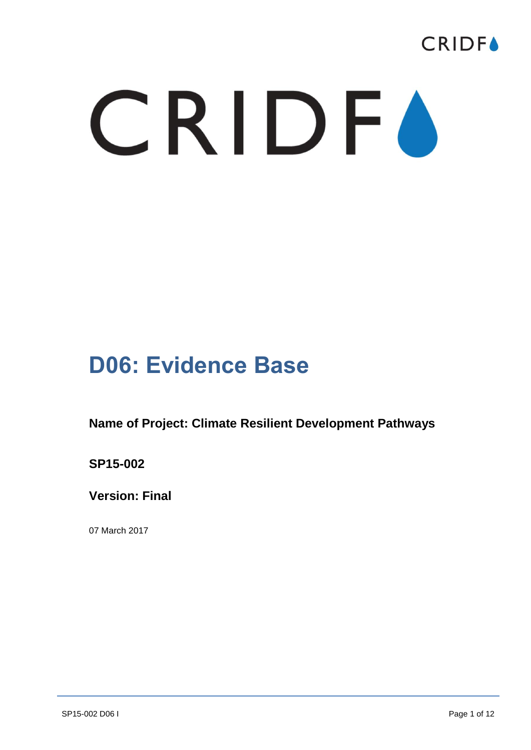

## CRIDFO

## **D06: Evidence Base**

**Name of Project: Climate Resilient Development Pathways**

**SP15-002**

**Version: Final**

07 March 2017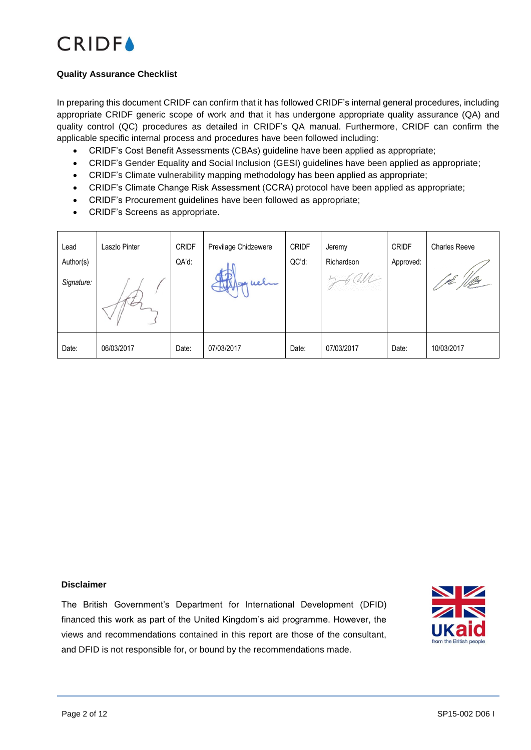

#### **Quality Assurance Checklist**

In preparing this document CRIDF can confirm that it has followed CRIDF's internal general procedures, including appropriate CRIDF generic scope of work and that it has undergone appropriate quality assurance (QA) and quality control (QC) procedures as detailed in CRIDF's QA manual. Furthermore, CRIDF can confirm the applicable specific internal process and procedures have been followed including:

- CRIDF's Cost Benefit Assessments (CBAs) guideline have been applied as appropriate;
- CRIDF's Gender Equality and Social Inclusion (GESI) guidelines have been applied as appropriate;
- CRIDF's Climate vulnerability mapping methodology has been applied as appropriate;
- CRIDF's Climate Change Risk Assessment (CCRA) protocol have been applied as appropriate;
- CRIDF's Procurement guidelines have been followed as appropriate;
- CRIDF's Screens as appropriate.

| Lead       | Laszlo Pinter | <b>CRIDF</b> | Previlage Chidzewere | <b>CRIDF</b> | Jeremy     | <b>CRIDF</b> | <b>Charles Reeve</b> |
|------------|---------------|--------------|----------------------|--------------|------------|--------------|----------------------|
| Author(s)  |               | QA'd:        |                      | QC'd:        | Richardson | Approved:    |                      |
| Signature: |               |              | 39 uel               |              |            |              | 11. <i>lly</i>       |
| Date:      | 06/03/2017    | Date:        | 07/03/2017           | Date:        | 07/03/2017 | Date:        | 10/03/2017           |

#### **Disclaimer**

The British Government's Department for International Development (DFID) financed this work as part of the United Kingdom's aid programme. However, the views and recommendations contained in this report are those of the consultant, and DFID is not responsible for, or bound by the recommendations made.

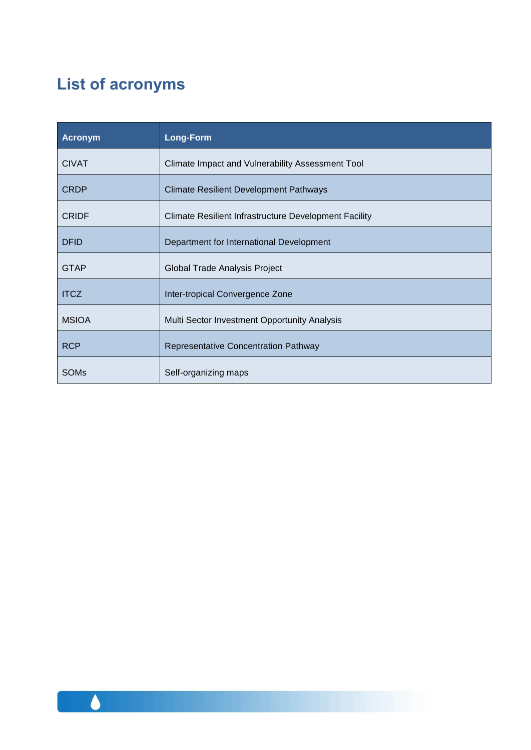### **List of acronyms**

| Acronym      | Long-Form                                                    |
|--------------|--------------------------------------------------------------|
| <b>CIVAT</b> | Climate Impact and Vulnerability Assessment Tool             |
| <b>CRDP</b>  | <b>Climate Resilient Development Pathways</b>                |
| <b>CRIDF</b> | <b>Climate Resilient Infrastructure Development Facility</b> |
| <b>DFID</b>  | Department for International Development                     |
| <b>GTAP</b>  | Global Trade Analysis Project                                |
| <b>ITCZ</b>  | Inter-tropical Convergence Zone                              |
| <b>MSIOA</b> | Multi Sector Investment Opportunity Analysis                 |
| <b>RCP</b>   | <b>Representative Concentration Pathway</b>                  |
| <b>SOMs</b>  | Self-organizing maps                                         |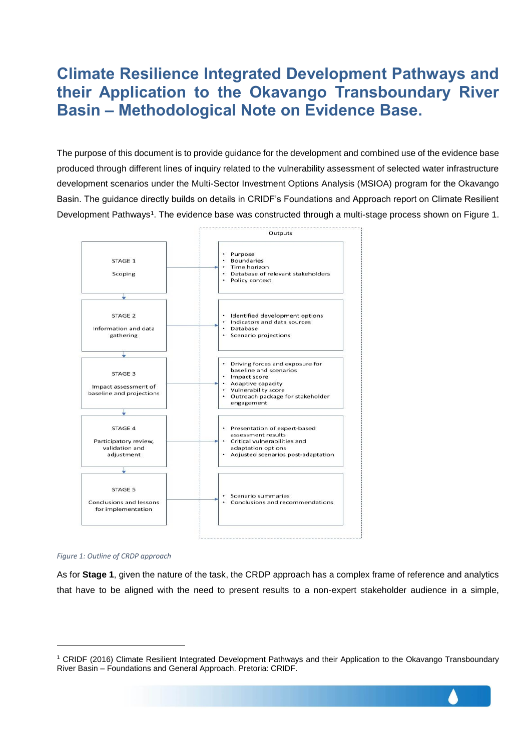### **Climate Resilience Integrated Development Pathways and their Application to the Okavango Transboundary River Basin – Methodological Note on Evidence Base.**

The purpose of this document is to provide guidance for the development and combined use of the evidence base produced through different lines of inquiry related to the vulnerability assessment of selected water infrastructure development scenarios under the Multi-Sector Investment Options Analysis (MSIOA) program for the Okavango Basin. The guidance directly builds on details in CRIDF's Foundations and Approach report on Climate Resilient Development Pathways<sup>1</sup>. The evidence base was constructed through a multi-stage process shown on Figure 1.





l

As for **Stage 1**, given the nature of the task, the CRDP approach has a complex frame of reference and analytics that have to be aligned with the need to present results to a non-expert stakeholder audience in a simple,

<sup>1</sup> CRIDF (2016) Climate Resilient Integrated Development Pathways and their Application to the Okavango Transboundary River Basin – Foundations and General Approach. Pretoria: CRIDF.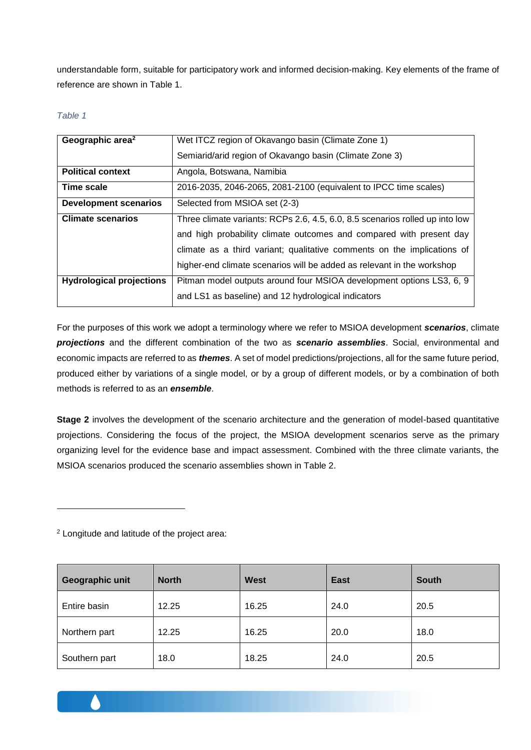understandable form, suitable for participatory work and informed decision-making. Key elements of the frame of reference are shown in Table 1.

#### *Table 1*

| Geographic area <sup>2</sup>    | Wet ITCZ region of Okavango basin (Climate Zone 1)                           |
|---------------------------------|------------------------------------------------------------------------------|
|                                 | Semiarid/arid region of Okavango basin (Climate Zone 3)                      |
| <b>Political context</b>        | Angola, Botswana, Namibia                                                    |
| <b>Time scale</b>               | 2016-2035, 2046-2065, 2081-2100 (equivalent to IPCC time scales)             |
| <b>Development scenarios</b>    | Selected from MSIOA set (2-3)                                                |
| <b>Climate scenarios</b>        | Three climate variants: RCPs 2.6, 4.5, 6.0, 8.5 scenarios rolled up into low |
|                                 | and high probability climate outcomes and compared with present day          |
|                                 | climate as a third variant; qualitative comments on the implications of      |
|                                 | higher-end climate scenarios will be added as relevant in the workshop       |
| <b>Hydrological projections</b> | Pitman model outputs around four MSIOA development options LS3, 6, 9         |
|                                 | and LS1 as baseline) and 12 hydrological indicators                          |

For the purposes of this work we adopt a terminology where we refer to MSIOA development *scenarios*, climate *projections* and the different combination of the two as *scenario assemblies*. Social, environmental and economic impacts are referred to as *themes*. A set of model predictions/projections, all for the same future period, produced either by variations of a single model, or by a group of different models, or by a combination of both methods is referred to as an *ensemble*.

**Stage 2** involves the development of the scenario architecture and the generation of model-based quantitative projections. Considering the focus of the project, the MSIOA development scenarios serve as the primary organizing level for the evidence base and impact assessment. Combined with the three climate variants, the MSIOA scenarios produced the scenario assemblies shown in Table 2.

<sup>2</sup> Longitude and latitude of the project area:

l

| Geographic unit | <b>North</b> | <b>West</b> | <b>East</b> | <b>South</b> |
|-----------------|--------------|-------------|-------------|--------------|
| Entire basin    | 12.25        | 16.25       | 24.0        | 20.5         |
| Northern part   | 12.25        | 16.25       | 20.0        | 18.0         |
| Southern part   | 18.0         | 18.25       | 24.0        | 20.5         |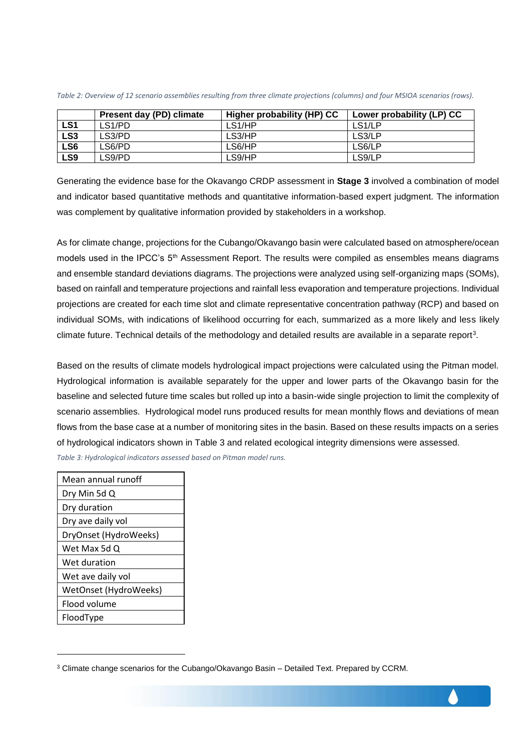|                 | Present day (PD) climate | Higher probability (HP) CC | Lower probability (LP) CC |
|-----------------|--------------------------|----------------------------|---------------------------|
| LS1             | LS1/PD                   | LS1/HP                     | LS <sub>1</sub> /LP       |
| LS <sub>3</sub> | LS3/PD                   | LS3/HP                     | LS3/LP                    |
| LS6             | LS6/PD                   | LS6/HP                     | LS6/LP                    |
| LS <sub>9</sub> | _S9/PD                   | LS9/HP                     | LS9/LP                    |

*Table 2: Overview of 12 scenario assemblies resulting from three climate projections (columns) and four MSIOA scenarios (rows).*

Generating the evidence base for the Okavango CRDP assessment in **Stage 3** involved a combination of model and indicator based quantitative methods and quantitative information-based expert judgment. The information was complement by qualitative information provided by stakeholders in a workshop.

As for climate change, projections for the Cubango/Okavango basin were calculated based on atmosphere/ocean models used in the IPCC's 5<sup>th</sup> Assessment Report. The results were compiled as ensembles means diagrams and ensemble standard deviations diagrams. The projections were analyzed using self-organizing maps (SOMs), based on rainfall and temperature projections and rainfall less evaporation and temperature projections. Individual projections are created for each time slot and climate representative concentration pathway (RCP) and based on individual SOMs, with indications of likelihood occurring for each, summarized as a more likely and less likely climate future. Technical details of the methodology and detailed results are available in a separate report<sup>3</sup>.

Based on the results of climate models hydrological impact projections were calculated using the Pitman model. Hydrological information is available separately for the upper and lower parts of the Okavango basin for the baseline and selected future time scales but rolled up into a basin-wide single projection to limit the complexity of scenario assemblies. Hydrological model runs produced results for mean monthly flows and deviations of mean flows from the base case at a number of monitoring sites in the basin. Based on these results impacts on a series of hydrological indicators shown in Table 3 and related ecological integrity dimensions were assessed.

*Table 3: Hydrological indicators assessed based on Pitman model runs.*

| Mean annual runoff    |
|-----------------------|
| Dry Min 5d Q          |
| Dry duration          |
| Dry ave daily vol     |
| DryOnset (HydroWeeks) |
| Wet Max 5d Q          |
| Wet duration          |
| Wet ave daily vol     |
| WetOnset (HydroWeeks) |
| Flood volume          |
| FloodType             |

l

 $3$  Climate change scenarios for the Cubango/Okavango Basin – Detailed Text. Prepared by CCRM.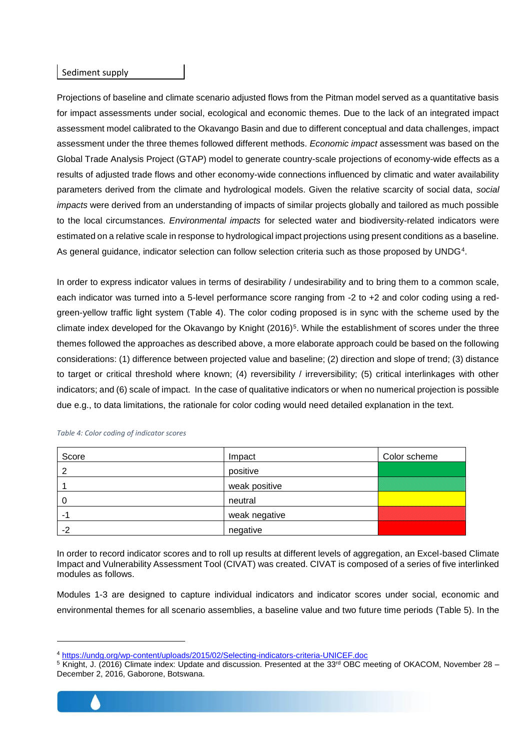#### Sediment supply

Projections of baseline and climate scenario adjusted flows from the Pitman model served as a quantitative basis for impact assessments under social, ecological and economic themes. Due to the lack of an integrated impact assessment model calibrated to the Okavango Basin and due to different conceptual and data challenges, impact assessment under the three themes followed different methods. *Economic impact* assessment was based on the Global Trade Analysis Project (GTAP) model to generate country-scale projections of economy-wide effects as a results of adjusted trade flows and other economy-wide connections influenced by climatic and water availability parameters derived from the climate and hydrological models. Given the relative scarcity of social data, *social impacts* were derived from an understanding of impacts of similar projects globally and tailored as much possible to the local circumstances. *Environmental impacts* for selected water and biodiversity-related indicators were estimated on a relative scale in response to hydrological impact projections using present conditions as a baseline. As general guidance, indicator selection can follow selection criteria such as those proposed by UNDG<sup>4</sup>.

In order to express indicator values in terms of desirability / undesirability and to bring them to a common scale, each indicator was turned into a 5-level performance score ranging from -2 to +2 and color coding using a redgreen-yellow traffic light system (Table 4). The color coding proposed is in sync with the scheme used by the climate index developed for the Okavango by Knight (2016)<sup>5</sup>. While the establishment of scores under the three themes followed the approaches as described above, a more elaborate approach could be based on the following considerations: (1) difference between projected value and baseline; (2) direction and slope of trend; (3) distance to target or critical threshold where known; (4) reversibility / irreversibility; (5) critical interlinkages with other indicators; and (6) scale of impact. In the case of qualitative indicators or when no numerical projection is possible due e.g., to data limitations, the rationale for color coding would need detailed explanation in the text.

| Score | Impact        | Color scheme |
|-------|---------------|--------------|
| 2     | positive      |              |
|       | weak positive |              |
| O     | neutral       |              |
|       | weak negative |              |
| $-2$  | negative      |              |

#### *Table 4: Color coding of indicator scores*

In order to record indicator scores and to roll up results at different levels of aggregation, an Excel-based Climate Impact and Vulnerability Assessment Tool (CIVAT) was created. CIVAT is composed of a series of five interlinked modules as follows.

Modules 1-3 are designed to capture individual indicators and indicator scores under social, economic and environmental themes for all scenario assemblies, a baseline value and two future time periods (Table 5). In the

<sup>&</sup>lt;sup>5</sup> Knight, J. (2016) Climate index: Update and discussion. Presented at the 33<sup>rd</sup> OBC meeting of OKACOM, November 28 – December 2, 2016, Gaborone, Botswana.



l

<sup>4</sup> <https://undg.org/wp-content/uploads/2015/02/Selecting-indicators-criteria-UNICEF.doc>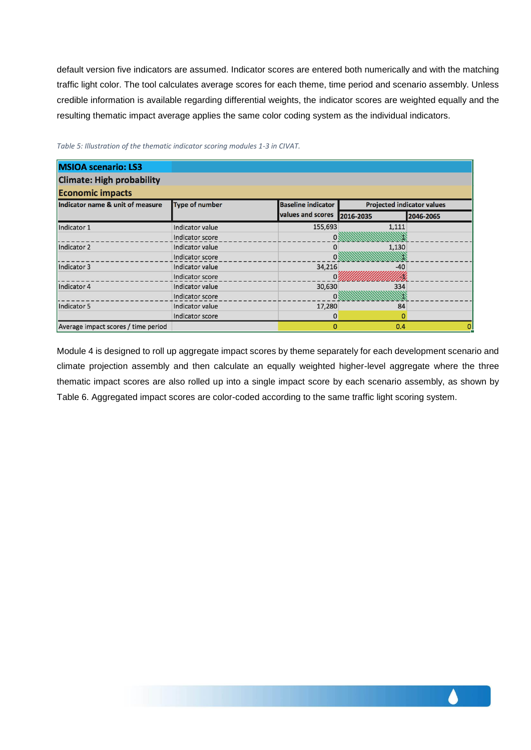default version five indicators are assumed. Indicator scores are entered both numerically and with the matching traffic light color. The tool calculates average scores for each theme, time period and scenario assembly. Unless credible information is available regarding differential weights, the indicator scores are weighted equally and the resulting thematic impact average applies the same color coding system as the individual indicators.

| <b>MSIOA scenario: LS3</b>          |                       |                           |                                   |           |
|-------------------------------------|-----------------------|---------------------------|-----------------------------------|-----------|
| <b>Climate: High probability</b>    |                       |                           |                                   |           |
| <b>Economic impacts</b>             |                       |                           |                                   |           |
| Indicator name & unit of measure    | <b>Type of number</b> | <b>Baseline indicator</b> | <b>Projected indicator values</b> |           |
|                                     |                       | values and scores         | 2016-2035                         | 2046-2065 |
| Indicator 1                         | Indicator value       | 155,693                   | 1,111                             |           |
|                                     | Indicator score       |                           |                                   |           |
| Indicator 2                         | Indicator value       | 0                         | 1,130                             |           |
|                                     | Indicator score       |                           |                                   |           |
| Indicator 3                         | Indicator value       | 34,216                    | -40                               |           |
|                                     | Indicator score       |                           |                                   |           |
| Indicator 4                         | Indicator value       | 30,630                    | 334                               |           |
|                                     | Indicator score       | 0                         |                                   |           |
| Indicator 5                         | Indicator value       | 17,280                    | 84                                |           |
|                                     | Indicator score       | 0                         | 0                                 |           |
| Average impact scores / time period |                       | $\Omega$                  | 0.4                               |           |

#### *Table 5: Illustration of the thematic indicator scoring modules 1-3 in CIVAT.*

Module 4 is designed to roll up aggregate impact scores by theme separately for each development scenario and climate projection assembly and then calculate an equally weighted higher-level aggregate where the three thematic impact scores are also rolled up into a single impact score by each scenario assembly, as shown by Table 6. Aggregated impact scores are color-coded according to the same traffic light scoring system.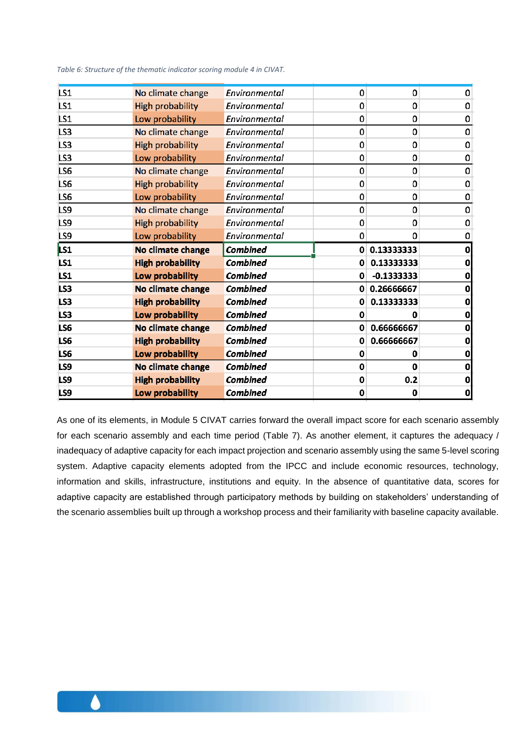*Table 6: Structure of the thematic indicator scoring module 4 in CIVAT.*

| LS <sub>1</sub> | No climate change       | Environmental   | 0 | 0            | 0            |
|-----------------|-------------------------|-----------------|---|--------------|--------------|
| LS1             | <b>High probability</b> | Environmental   | 0 | 0            | 0            |
| LS1             | Low probability         | Environmental   | 0 | 0            | 0            |
| LS3             | No climate change       | Environmental   | 0 | 0            | 0            |
| LS3             | <b>High probability</b> | Environmental   | 0 | 0            | 0            |
| LS3             | Low probability         | Environmental   | 0 | 0            | 0            |
| LS6             | No climate change       | Environmental   | 0 | 0            | 0            |
| LS6             | <b>High probability</b> | Environmental   | 0 | 0            | 0            |
| LS6             | Low probability         | Environmental   | 0 | 0            | 0            |
| LS9             | No climate change       | Environmental   | 0 | 0            | 0            |
| LS9             | High probability        | Environmental   | 0 | 0            | 0            |
| LS9             | Low probability         | Environmental   | 0 | 0            | 0            |
|                 |                         |                 |   |              |              |
| LS1             | No climate change       | <b>Combined</b> |   | 0 0.13333333 | $\mathbf{0}$ |
| LS1             | <b>High probability</b> | <b>Combined</b> | 0 | 0.13333333   | 0            |
| LS1             | Low probability         | <b>Combined</b> | 0 | $-0.1333333$ | 0            |
| LS3             | No climate change       | <b>Combined</b> | 0 | 0.26666667   | 0            |
| LS3             | <b>High probability</b> | <b>Combined</b> | 0 | 0.13333333   | 0            |
| LS3             | Low probability         | <b>Combined</b> | 0 | 0            | 0            |
| LS6             | No climate change       | <b>Combined</b> | 0 | 0.66666667   | 0            |
| LS6             | <b>High probability</b> | <b>Combined</b> | 0 | 0.66666667   | 0            |
| LS6             | Low probability         | <b>Combined</b> | 0 | 0            | 0            |
| LS9             | No climate change       | <b>Combined</b> | 0 | 0            | 0            |
| LS9             | <b>High probability</b> | <b>Combined</b> | 0 | 0.2          | 0            |
| LS9             | Low probability         | <b>Combined</b> | 0 | 0            | 0            |

As one of its elements, in Module 5 CIVAT carries forward the overall impact score for each scenario assembly for each scenario assembly and each time period (Table 7). As another element, it captures the adequacy / inadequacy of adaptive capacity for each impact projection and scenario assembly using the same 5-level scoring system. Adaptive capacity elements adopted from the IPCC and include economic resources, technology, information and skills, infrastructure, institutions and equity. In the absence of quantitative data, scores for adaptive capacity are established through participatory methods by building on stakeholders' understanding of the scenario assemblies built up through a workshop process and their familiarity with baseline capacity available.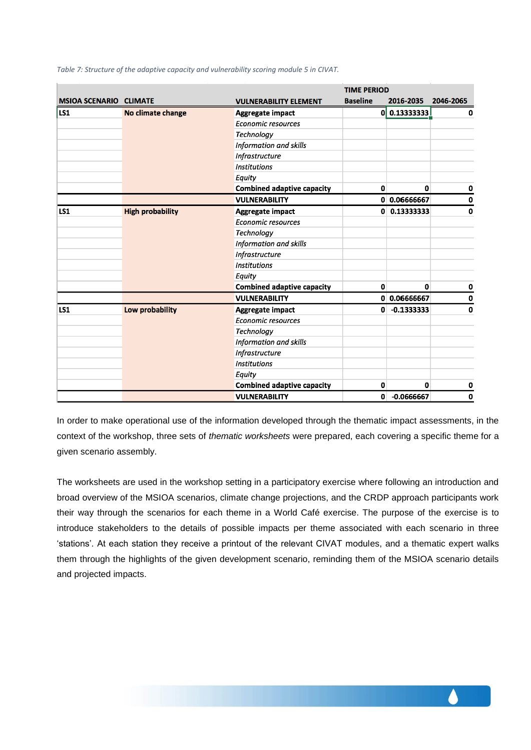|                               |                         |                                   | <b>TIME PERIOD</b> |                |             |
|-------------------------------|-------------------------|-----------------------------------|--------------------|----------------|-------------|
| <b>MSIOA SCENARIO CLIMATE</b> |                         | <b>VULNERABILITY ELEMENT</b>      | <b>Baseline</b>    | 2016-2035      | 2046-2065   |
| LS1                           | No climate change       | <b>Aggregate impact</b>           | 0l                 | 0.13333333     | $\mathbf 0$ |
|                               |                         | <b>Economic resources</b>         |                    |                |             |
|                               |                         | <b>Technology</b>                 |                    |                |             |
|                               |                         | Information and skills            |                    |                |             |
|                               |                         | <b>Infrastructure</b>             |                    |                |             |
|                               |                         | <b>Institutions</b>               |                    |                |             |
|                               |                         | Equity                            |                    |                |             |
|                               |                         | <b>Combined adaptive capacity</b> | 0                  | $\mathbf{0}$   | 0           |
|                               |                         | <b>VULNERABILITY</b>              |                    | 0 0.06666667   | $\mathbf 0$ |
| <b>LS1</b>                    | <b>High probability</b> | Aggregate impact                  |                    | $0$ 0.13333333 | $\mathbf 0$ |
|                               |                         | <b>Economic resources</b>         |                    |                |             |
|                               |                         | Technology                        |                    |                |             |
|                               |                         | Information and skills            |                    |                |             |
|                               |                         | Infrastructure                    |                    |                |             |
|                               |                         | <b>Institutions</b>               |                    |                |             |
|                               |                         | Equity                            |                    |                |             |
|                               |                         | <b>Combined adaptive capacity</b> | 0                  | $\mathbf{0}$   | $\mathbf 0$ |
|                               |                         | <b>VULNERABILITY</b>              |                    | 0 0.06666667   | $\mathbf 0$ |
| <b>LS1</b>                    | Low probability         | <b>Aggregate impact</b>           | $\mathbf{0}$       | $-0.1333333$   | $\mathbf 0$ |
|                               |                         | <b>Economic resources</b>         |                    |                |             |
|                               |                         | Technology                        |                    |                |             |
|                               |                         | Information and skills            |                    |                |             |
|                               |                         | Infrastructure                    |                    |                |             |
|                               |                         | <b>Institutions</b>               |                    |                |             |
|                               |                         | Equity                            |                    |                |             |
|                               |                         | <b>Combined adaptive capacity</b> | 0                  | 0              | $\mathbf 0$ |
|                               |                         | <b>VULNERABILITY</b>              | $\mathbf{0}$       | $-0.0666667$   | $\mathbf 0$ |

*Table 7: Structure of the adaptive capacity and vulnerability scoring module 5 in CIVAT.*

In order to make operational use of the information developed through the thematic impact assessments, in the context of the workshop, three sets of *thematic worksheets* were prepared, each covering a specific theme for a given scenario assembly.

The worksheets are used in the workshop setting in a participatory exercise where following an introduction and broad overview of the MSIOA scenarios, climate change projections, and the CRDP approach participants work their way through the scenarios for each theme in a World Café exercise. The purpose of the exercise is to introduce stakeholders to the details of possible impacts per theme associated with each scenario in three 'stations'. At each station they receive a printout of the relevant CIVAT modules, and a thematic expert walks them through the highlights of the given development scenario, reminding them of the MSIOA scenario details and projected impacts.